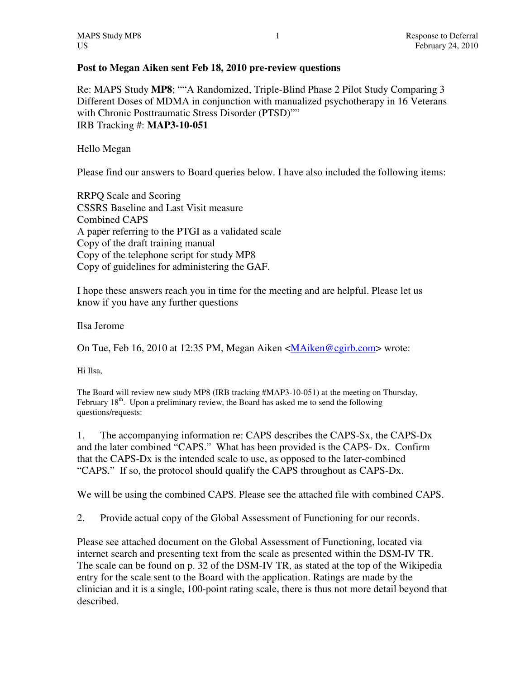## **Post to Megan Aiken sent Feb 18, 2010 pre-review questions**

Re: MAPS Study **MP8**; ""A Randomized, Triple-Blind Phase 2 Pilot Study Comparing 3 Different Doses of MDMA in conjunction with manualized psychotherapy in 16 Veterans with Chronic Posttraumatic Stress Disorder (PTSD)"" IRB Tracking #: **MAP3-10-051** 

Hello Megan

Please find our answers to Board queries below. I have also included the following items:

RRPQ Scale and Scoring CSSRS Baseline and Last Visit measure Combined CAPS A paper referring to the PTGI as a validated scale Copy of the draft training manual Copy of the telephone script for study MP8 Copy of guidelines for administering the GAF.

I hope these answers reach you in time for the meeting and are helpful. Please let us know if you have any further questions

Ilsa Jerome

On Tue, Feb 16, 2010 at 12:35 PM, Megan Aiken <MAiken@cgirb.com> wrote:

Hi Ilsa,

The Board will review new study MP8 (IRB tracking #MAP3-10-051) at the meeting on Thursday, February  $18<sup>th</sup>$ . Upon a preliminary review, the Board has asked me to send the following questions/requests:

1. The accompanying information re: CAPS describes the CAPS-Sx, the CAPS-Dx and the later combined "CAPS." What has been provided is the CAPS- Dx. Confirm that the CAPS-Dx is the intended scale to use, as opposed to the later-combined "CAPS." If so, the protocol should qualify the CAPS throughout as CAPS-Dx.

We will be using the combined CAPS. Please see the attached file with combined CAPS.

2. Provide actual copy of the Global Assessment of Functioning for our records.

Please see attached document on the Global Assessment of Functioning, located via internet search and presenting text from the scale as presented within the DSM-IV TR. The scale can be found on p. 32 of the DSM-IV TR, as stated at the top of the Wikipedia entry for the scale sent to the Board with the application. Ratings are made by the clinician and it is a single, 100-point rating scale, there is thus not more detail beyond that described.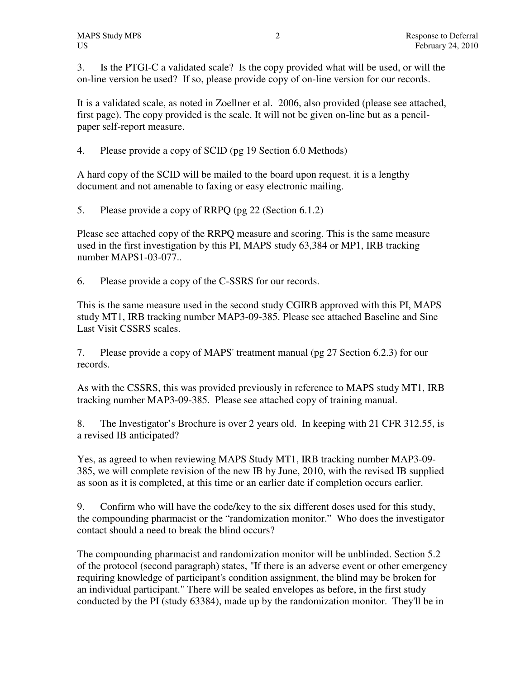3. Is the PTGI-C a validated scale? Is the copy provided what will be used, or will the on-line version be used? If so, please provide copy of on-line version for our records.

It is a validated scale, as noted in Zoellner et al. 2006, also provided (please see attached, first page). The copy provided is the scale. It will not be given on-line but as a pencilpaper self-report measure.

4. Please provide a copy of SCID (pg 19 Section 6.0 Methods)

A hard copy of the SCID will be mailed to the board upon request. it is a lengthy document and not amenable to faxing or easy electronic mailing.

5. Please provide a copy of RRPQ (pg 22 (Section 6.1.2)

Please see attached copy of the RRPQ measure and scoring. This is the same measure used in the first investigation by this PI, MAPS study 63,384 or MP1, IRB tracking number MAPS1-03-077..

6. Please provide a copy of the C-SSRS for our records.

This is the same measure used in the second study CGIRB approved with this PI, MAPS study MT1, IRB tracking number MAP3-09-385. Please see attached Baseline and Sine Last Visit CSSRS scales.

7. Please provide a copy of MAPS' treatment manual (pg 27 Section 6.2.3) for our records.

As with the CSSRS, this was provided previously in reference to MAPS study MT1, IRB tracking number MAP3-09-385. Please see attached copy of training manual.

8. The Investigator's Brochure is over 2 years old. In keeping with 21 CFR 312.55, is a revised IB anticipated?

Yes, as agreed to when reviewing MAPS Study MT1, IRB tracking number MAP3-09- 385, we will complete revision of the new IB by June, 2010, with the revised IB supplied as soon as it is completed, at this time or an earlier date if completion occurs earlier.

9. Confirm who will have the code/key to the six different doses used for this study, the compounding pharmacist or the "randomization monitor." Who does the investigator contact should a need to break the blind occurs?

The compounding pharmacist and randomization monitor will be unblinded. Section 5.2 of the protocol (second paragraph) states, "If there is an adverse event or other emergency requiring knowledge of participant's condition assignment, the blind may be broken for an individual participant." There will be sealed envelopes as before, in the first study conducted by the PI (study 63384), made up by the randomization monitor. They'll be in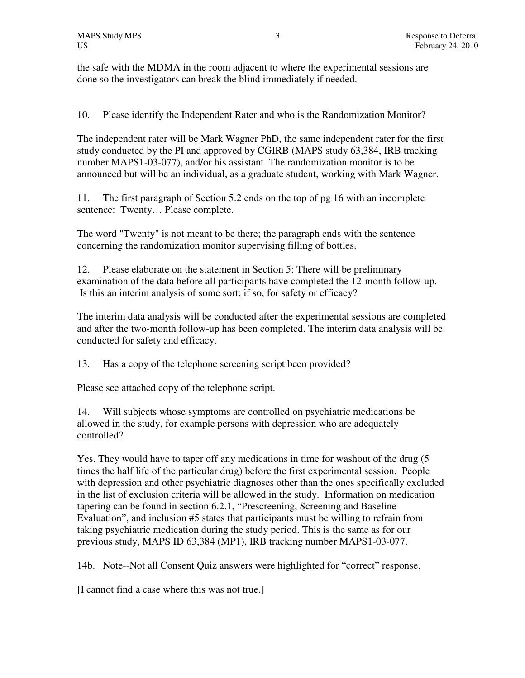the safe with the MDMA in the room adjacent to where the experimental sessions are done so the investigators can break the blind immediately if needed.

10. Please identify the Independent Rater and who is the Randomization Monitor?

The independent rater will be Mark Wagner PhD, the same independent rater for the first study conducted by the PI and approved by CGIRB (MAPS study 63,384, IRB tracking number MAPS1-03-077), and/or his assistant. The randomization monitor is to be announced but will be an individual, as a graduate student, working with Mark Wagner.

11. The first paragraph of Section 5.2 ends on the top of pg 16 with an incomplete sentence: Twenty… Please complete.

The word "Twenty" is not meant to be there; the paragraph ends with the sentence concerning the randomization monitor supervising filling of bottles.

12. Please elaborate on the statement in Section 5: There will be preliminary examination of the data before all participants have completed the 12-month follow-up. Is this an interim analysis of some sort; if so, for safety or efficacy?

The interim data analysis will be conducted after the experimental sessions are completed and after the two-month follow-up has been completed. The interim data analysis will be conducted for safety and efficacy.

13. Has a copy of the telephone screening script been provided?

Please see attached copy of the telephone script.

14. Will subjects whose symptoms are controlled on psychiatric medications be allowed in the study, for example persons with depression who are adequately controlled?

Yes. They would have to taper off any medications in time for washout of the drug (5 times the half life of the particular drug) before the first experimental session. People with depression and other psychiatric diagnoses other than the ones specifically excluded in the list of exclusion criteria will be allowed in the study. Information on medication tapering can be found in section 6.2.1, "Prescreening, Screening and Baseline Evaluation", and inclusion #5 states that participants must be willing to refrain from taking psychiatric medication during the study period. This is the same as for our previous study, MAPS ID 63,384 (MP1), IRB tracking number MAPS1-03-077.

14b. Note--Not all Consent Quiz answers were highlighted for "correct" response.

[I cannot find a case where this was not true.]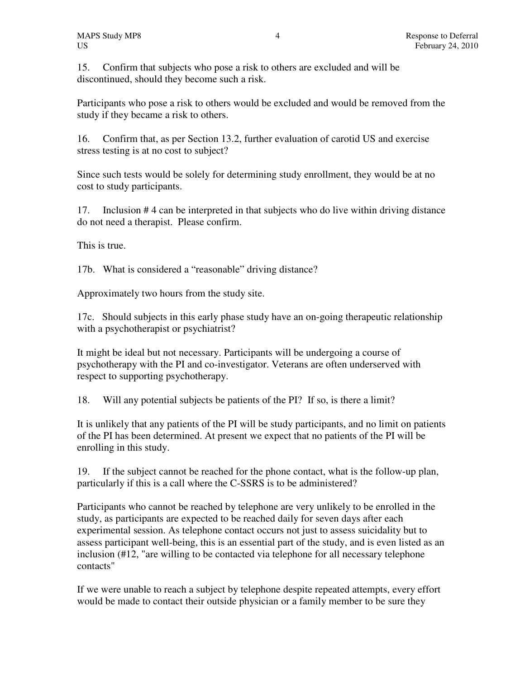15. Confirm that subjects who pose a risk to others are excluded and will be discontinued, should they become such a risk.

Participants who pose a risk to others would be excluded and would be removed from the study if they became a risk to others.

16. Confirm that, as per Section 13.2, further evaluation of carotid US and exercise stress testing is at no cost to subject?

Since such tests would be solely for determining study enrollment, they would be at no cost to study participants.

17. Inclusion # 4 can be interpreted in that subjects who do live within driving distance do not need a therapist. Please confirm.

This is true.

17b. What is considered a "reasonable" driving distance?

Approximately two hours from the study site.

17c. Should subjects in this early phase study have an on-going therapeutic relationship with a psychotherapist or psychiatrist?

It might be ideal but not necessary. Participants will be undergoing a course of psychotherapy with the PI and co-investigator. Veterans are often underserved with respect to supporting psychotherapy.

18. Will any potential subjects be patients of the PI? If so, is there a limit?

It is unlikely that any patients of the PI will be study participants, and no limit on patients of the PI has been determined. At present we expect that no patients of the PI will be enrolling in this study.

19. If the subject cannot be reached for the phone contact, what is the follow-up plan, particularly if this is a call where the C-SSRS is to be administered?

Participants who cannot be reached by telephone are very unlikely to be enrolled in the study, as participants are expected to be reached daily for seven days after each experimental session. As telephone contact occurs not just to assess suicidality but to assess participant well-being, this is an essential part of the study, and is even listed as an inclusion (#12, "are willing to be contacted via telephone for all necessary telephone contacts"

If we were unable to reach a subject by telephone despite repeated attempts, every effort would be made to contact their outside physician or a family member to be sure they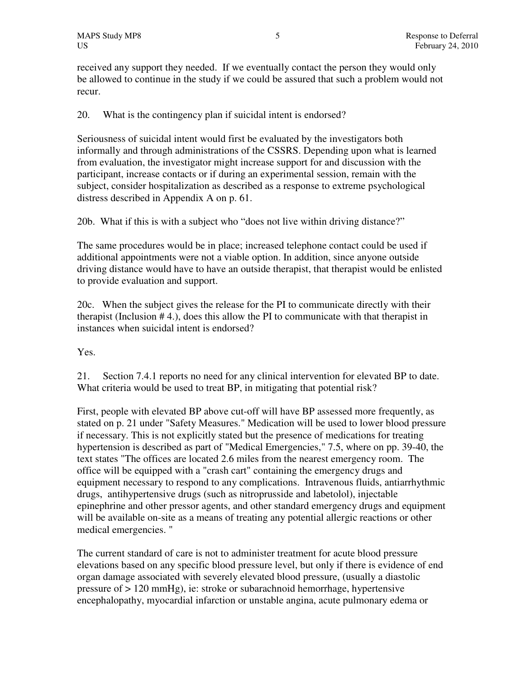received any support they needed. If we eventually contact the person they would only be allowed to continue in the study if we could be assured that such a problem would not recur.

20. What is the contingency plan if suicidal intent is endorsed?

Seriousness of suicidal intent would first be evaluated by the investigators both informally and through administrations of the CSSRS. Depending upon what is learned from evaluation, the investigator might increase support for and discussion with the participant, increase contacts or if during an experimental session, remain with the subject, consider hospitalization as described as a response to extreme psychological distress described in Appendix A on p. 61.

20b. What if this is with a subject who "does not live within driving distance?"

The same procedures would be in place; increased telephone contact could be used if additional appointments were not a viable option. In addition, since anyone outside driving distance would have to have an outside therapist, that therapist would be enlisted to provide evaluation and support.

20c. When the subject gives the release for the PI to communicate directly with their therapist (Inclusion # 4.), does this allow the PI to communicate with that therapist in instances when suicidal intent is endorsed?

Yes.

21. Section 7.4.1 reports no need for any clinical intervention for elevated BP to date. What criteria would be used to treat BP, in mitigating that potential risk?

First, people with elevated BP above cut-off will have BP assessed more frequently, as stated on p. 21 under "Safety Measures." Medication will be used to lower blood pressure if necessary. This is not explicitly stated but the presence of medications for treating hypertension is described as part of "Medical Emergencies," 7.5, where on pp. 39-40, the text states "The offices are located 2.6 miles from the nearest emergency room. The office will be equipped with a "crash cart" containing the emergency drugs and equipment necessary to respond to any complications. Intravenous fluids, antiarrhythmic drugs, antihypertensive drugs (such as nitroprusside and labetolol), injectable epinephrine and other pressor agents, and other standard emergency drugs and equipment will be available on-site as a means of treating any potential allergic reactions or other medical emergencies. "

The current standard of care is not to administer treatment for acute blood pressure elevations based on any specific blood pressure level, but only if there is evidence of end organ damage associated with severely elevated blood pressure, (usually a diastolic pressure of > 120 mmHg), ie: stroke or subarachnoid hemorrhage, hypertensive encephalopathy, myocardial infarction or unstable angina, acute pulmonary edema or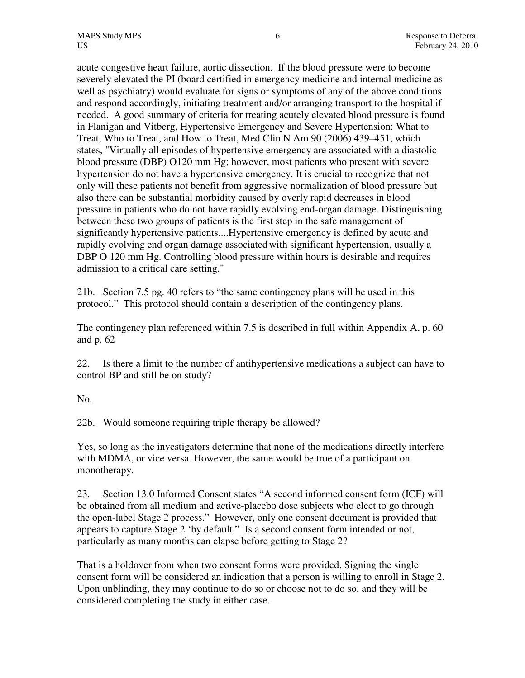acute congestive heart failure, aortic dissection. If the blood pressure were to become severely elevated the PI (board certified in emergency medicine and internal medicine as well as psychiatry) would evaluate for signs or symptoms of any of the above conditions and respond accordingly, initiating treatment and/or arranging transport to the hospital if needed. A good summary of criteria for treating acutely elevated blood pressure is found in Flanigan and Vitberg, Hypertensive Emergency and Severe Hypertension: What to Treat, Who to Treat, and How to Treat, Med Clin N Am 90 (2006) 439–451, which states, "Virtually all episodes of hypertensive emergency are associated with a diastolic blood pressure (DBP) O120 mm Hg; however, most patients who present with severe hypertension do not have a hypertensive emergency. It is crucial to recognize that not only will these patients not benefit from aggressive normalization of blood pressure but also there can be substantial morbidity caused by overly rapid decreases in blood pressure in patients who do not have rapidly evolving end-organ damage. Distinguishing between these two groups of patients is the first step in the safe management of significantly hypertensive patients....Hypertensive emergency is defined by acute and rapidly evolving end organ damage associated with significant hypertension, usually a DBP O 120 mm Hg. Controlling blood pressure within hours is desirable and requires admission to a critical care setting."

21b. Section 7.5 pg. 40 refers to "the same contingency plans will be used in this protocol." This protocol should contain a description of the contingency plans.

The contingency plan referenced within 7.5 is described in full within Appendix A, p. 60 and p. 62

22. Is there a limit to the number of antihypertensive medications a subject can have to control BP and still be on study?

No.

22b. Would someone requiring triple therapy be allowed?

Yes, so long as the investigators determine that none of the medications directly interfere with MDMA, or vice versa. However, the same would be true of a participant on monotherapy.

23. Section 13.0 Informed Consent states "A second informed consent form (ICF) will be obtained from all medium and active-placebo dose subjects who elect to go through the open-label Stage 2 process." However, only one consent document is provided that appears to capture Stage 2 'by default." Is a second consent form intended or not, particularly as many months can elapse before getting to Stage 2?

That is a holdover from when two consent forms were provided. Signing the single consent form will be considered an indication that a person is willing to enroll in Stage 2. Upon unblinding, they may continue to do so or choose not to do so, and they will be considered completing the study in either case.